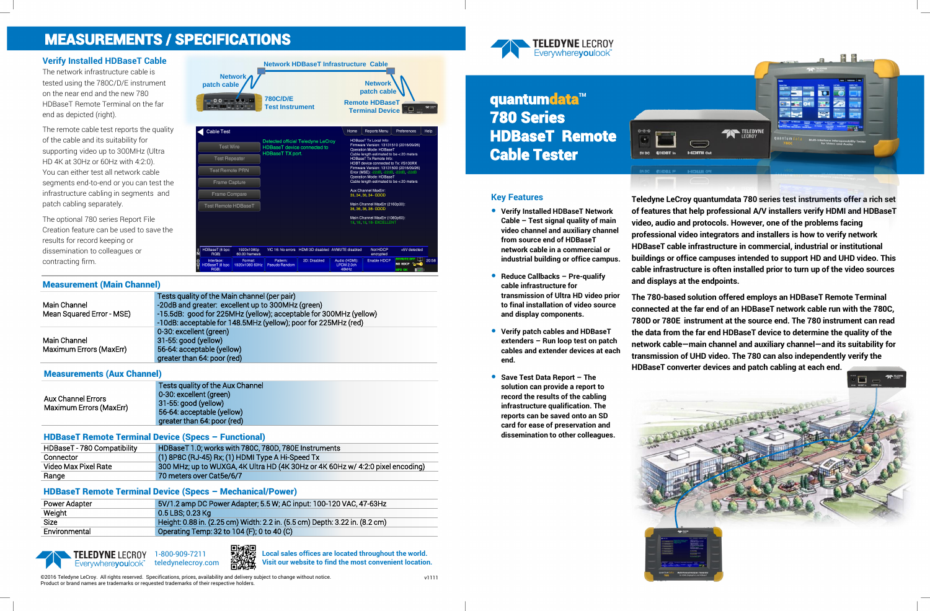

# quantumdata<sup>™</sup> 780 Series HDBaseT Remote Cable Tester



### **Key Features**

- **Verify Installed HDBaseT Network Cable – Test signal quality of main video channel and auxiliary channel from source end of HDBaseT network cable in a commercial or industrial building or office campus.**
- **Reduce Callbacks – Pre-qualify cable infrastructure for transmission of Ultra HD video prior to final installation of video source and display components.**
- **Verify patch cables and HDBaseT extenders – Run loop test on patch cables and extender devices at each end.**
- **Save Test Data Report – The solution can provide a report to record the results of the cabling infrastructure qualification. The reports can be saved onto an SD card for ease of preservation and dissemination to other colleagues.**

**Teledyne LeCroy quantumdata 780 series test instruments offer a rich set of features that help professional A/V installers verify HDMI and HDBaseT video, audio and protocols. However, one of the problems facing professional video integrators and installers is how to verify network HDBaseT cable infrastructure in commercial, industrial or institutional buildings or office campuses intended to support HD and UHD video. This cable infrastructure is often installed prior to turn up of the video sources and displays at the endpoints.**

**The 780-based solution offered employs an HDBaseT Remote Terminal connected at the far end of an HDBaseT network cable run with the 780C, 780D or 780E instrument at the source end. The 780 instrument can read the data from the far end HDBaseT device to determine the quality of the network cable—main channel and auxiliary channel—and its suitability for transmission of UHD video. The 780 can also independently verify the HDBaseT converter devices and patch cabling at each end.**